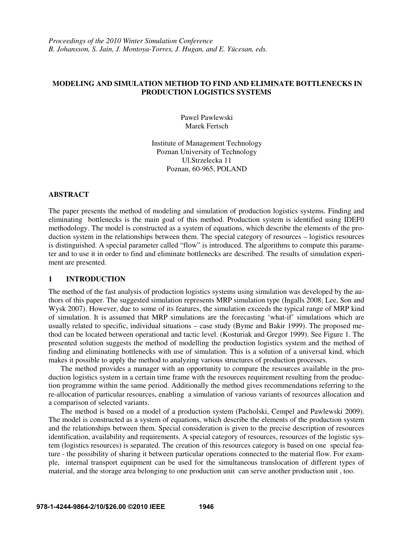## **MODELING AND SIMULATION METHOD TO FIND AND ELIMINATE BOTTLENECKS IN PRODUCTION LOGISTICS SYSTEMS**

Pawel Pawlewski Marek Fertsch

Institute of Management Technology Poznan University of Technology Ul.Strzelecka 11 Poznan, 60-965, POLAND

## **ABSTRACT**

The paper presents the method of modeling and simulation of production logistics systems. Finding and eliminating bottlenecks is the main goal of this method. Production system is identified using IDEF0 methodology. The model is constructed as a system of equations, which describe the elements of the production system in the relationships between them. The special category of resources – logistics resources is distinguished. A special parameter called "flow" is introduced. The algorithms to compute this parameter and to use it in order to find and eliminate bottlenecks are described. The results of simulation experiment are presented.

## **1 INTRODUCTION**

The method of the fast analysis of production logistics systems using simulation was developed by the authors of this paper. The suggested simulation represents MRP simulation type (Ingalls 2008; Lee, Son and Wysk 2007). However, due to some of its features, the simulation exceeds the typical range of MRP kind of simulation. It is assumed that MRP simulations are the forecasting 'what-if' simulations which are usually related to specific, individual situations – case study (Byme and Bakir 1999). The proposed method can be located between operational and tactic level. (Kosturiak and Gregor 1999). See Figure 1. The presented solution suggests the method of modelling the production logistics system and the method of finding and eliminating bottlenecks with use of simulation. This is a solution of a universal kind, which makes it possible to apply the method to analyzing various structures of production processes.

 The method provides a manager with an opportunity to compare the resources available in the production logistics system in a certain time frame with the resources requirement resulting from the production programme within the same period. Additionally the method gives recommendations referring to the re-allocation of particular resources, enabling a simulation of various variants of resources allocation and a comparison of selected variants.

 The method is based on a model of a production system (Pacholski, Cempel and Pawlewski 2009). The model is constructed as a system of equations, which describe the elements of the production system and the relationships between them. Special consideration is given to the precise description of resources identification, availability and requirements. A special category of resources, resources of the logistic system (logistics resources) is separated. The creation of this resources category is based on one special feature - the possibility of sharing it between particular operations connected to the material flow. For example, internal transport equipment can be used for the simultaneous translocation of different types of material, and the storage area belonging to one production unit can serve another production unit , too.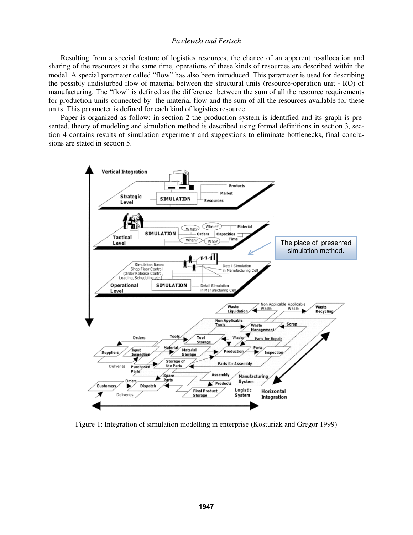Resulting from a special feature of logistics resources, the chance of an apparent re-allocation and sharing of the resources at the same time, operations of these kinds of resources are described within the model. A special parameter called "flow" has also been introduced. This parameter is used for describing the possibly undisturbed flow of material between the structural units (resource-operation unit - RO) of manufacturing. The "flow" is defined as the difference between the sum of all the resource requirements for production units connected by the material flow and the sum of all the resources available for these units. This parameter is defined for each kind of logistics resource.

 Paper is organized as follow: in section 2 the production system is identified and its graph is presented, theory of modeling and simulation method is described using formal definitions in section 3, section 4 contains results of simulation experiment and suggestions to eliminate bottlenecks, final conclusions are stated in section 5.



Figure 1: Integration of simulation modelling in enterprise (Kosturiak and Gregor 1999)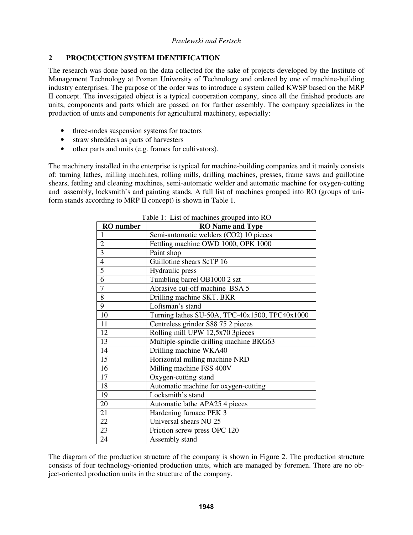# **2 PROCDUCTION SYSTEM IDENTIFICATION**

The research was done based on the data collected for the sake of projects developed by the Institute of Management Technology at Poznan University of Technology and ordered by one of machine-building industry enterprises. The purpose of the order was to introduce a system called KWSP based on the MRP II concept. The investigated object is a typical cooperation company, since all the finished products are units, components and parts which are passed on for further assembly. The company specializes in the production of units and components for agricultural machinery, especially:

- three-nodes suspension systems for tractors
- straw shredders as parts of harvesters
- other parts and units (e.g. frames for cultivators).

The machinery installed in the enterprise is typical for machine-building companies and it mainly consists of: turning lathes, milling machines, rolling mills, drilling machines, presses, frame saws and guillotine shears, fettling and cleaning machines, semi-automatic welder and automatic machine for oxygen-cutting and assembly, locksmith's and painting stands. A full list of machines grouped into RO (groups of uniform stands according to MRP II concept) is shown in Table 1.

| <b>RO</b> number | <b>RO</b> Name and Type                        |  |  |  |  |  |
|------------------|------------------------------------------------|--|--|--|--|--|
| $\mathbf{1}$     | Semi-automatic welders (CO2) 10 pieces         |  |  |  |  |  |
| $\overline{2}$   | Fettling machine OWD 1000, OPK 1000            |  |  |  |  |  |
| 3                | Paint shop                                     |  |  |  |  |  |
| $\overline{4}$   | Guillotine shears ScTP 16                      |  |  |  |  |  |
| $\overline{5}$   | Hydraulic press                                |  |  |  |  |  |
| 6                | Tumbling barrel OB1000 2 szt                   |  |  |  |  |  |
| $\overline{7}$   | Abrasive cut-off machine BSA 5                 |  |  |  |  |  |
| 8                | Drilling machine SKT, BKR                      |  |  |  |  |  |
| 9                | Loftsman's stand                               |  |  |  |  |  |
| 10               | Turning lathes SU-50A, TPC-40x1500, TPC40x1000 |  |  |  |  |  |
| 11               | Centreless grinder S88 75 2 pieces             |  |  |  |  |  |
| 12               | Rolling mill UPW 12,5x70 3pieces               |  |  |  |  |  |
| 13               | Multiple-spindle drilling machine BKG63        |  |  |  |  |  |
| 14               | Drilling machine WKA40                         |  |  |  |  |  |
| 15               | Horizontal milling machine NRD                 |  |  |  |  |  |
| 16               | Milling machine FSS 400V                       |  |  |  |  |  |
| 17               | Oxygen-cutting stand                           |  |  |  |  |  |
| 18               | Automatic machine for oxygen-cutting           |  |  |  |  |  |
| 19               | Locksmith's stand                              |  |  |  |  |  |
| 20               | Automatic lathe APA25 4 pieces                 |  |  |  |  |  |
| 21               | Hardening furnace PEK 3                        |  |  |  |  |  |
| 22               | Universal shears NU 25                         |  |  |  |  |  |
| 23               | Friction screw press OPC 120                   |  |  |  |  |  |
| 24               | Assembly stand                                 |  |  |  |  |  |

Table 1: List of machines grouped into RO

The diagram of the production structure of the company is shown in Figure 2. The production structure consists of four technology-oriented production units, which are managed by foremen. There are no object-oriented production units in the structure of the company.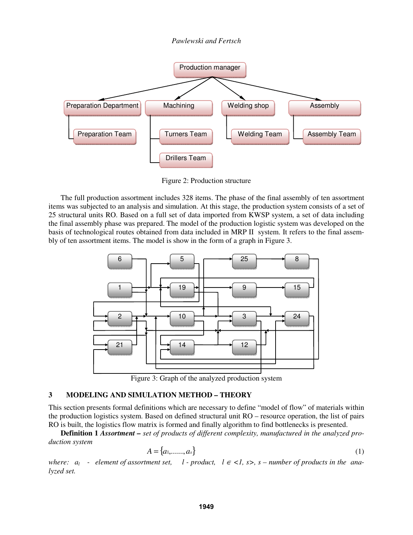



Figure 2: Production structure

 The full production assortment includes 328 items. The phase of the final assembly of ten assortment items was subjected to an analysis and simulation. At this stage, the production system consists of a set of 25 structural units RO. Based on a full set of data imported from KWSP system, a set of data including the final assembly phase was prepared. The model of the production logistic system was developed on the basis of technological routes obtained from data included in MRP II system. It refers to the final assembly of ten assortment items. The model is show in the form of a graph in Figure 3.



Figure 3: Graph of the analyzed production system

## **3 MODELING AND SIMULATION METHOD – THEORY**

This section presents formal definitions which are necessary to define "model of flow" of materials within the production logistics system. Based on defined structural unit RO – resource operation, the list of pairs RO is built, the logistics flow matrix is formed and finally algorithm to find bottlenecks is presented.

**Definition 1** *Assortment – set of products of different complexity, manufactured in the analyzed production system* 

$$
A = \{a_1, \dots, a_s\} \tag{1}
$$

*where:*  $a_l$  - element of assortment set, l - product,  $l \in \{1, s > s\}$  – number of products in the ana*lyzed set.*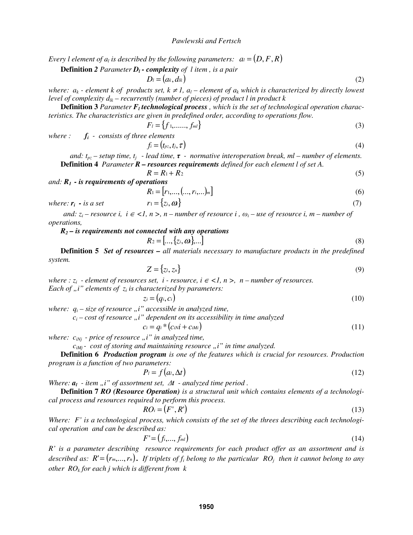*Every l element of*  $a_i$  *is described by the following parameters:*  $a_i = (D, F, R)$ 

**Definition 2** Parameter 
$$
D_l
$$
 - complexity of *l* item, is a pair

$$
D_l = (a_k, d_{lk})
$$
 (2)

*where:*  $a_k$  - element k of products set,  $k \neq 1$ ,  $a_l$  – element of  $a_k$  which is characterized by directly lowest *level of complexity*  $d_k$  – recurrently (number of pieces) of product l in product k

**Definition 3** Parameter  $F_l$  **technological process**, which is the set of technological operation charac*teristics. The characteristics are given in predefined order, according to operations flow.* 

$$
F_l = \{f_1, \dots, f_m\} \tag{3}
$$

*where : fi - consists of three elements* 

$$
f_i = (t_{pz}, t_j, \tau) \tag{4}
$$

*and:*  $t_{pz}$  – setup time,  $t_j$  - lead time,  $\tau$  - normative interoperation break, ml – number of elements.  **Definition 4** *Parameter R – resources requirements defined for each element l of set A.* 

$$
R = R_1 + R_2 \tag{5}
$$

*and: R1 - is requirements of operations* 

$$
R_1 = [r_1, \dots, (x_i, \dots)_{m}]
$$
 (6)

where: 
$$
\mathbf{r}_i - i s \ a \ set \qquad \qquad \mathbf{r}_1 = \{z_i, \mathbf{\omega}\}\tag{7}
$$

*and:*  $z_i$  – resource i,  $i \in \{1, n \ge n$ , n – number of resource i,  $\omega_i$  – use of resource i, m – number of *operations,*

*R2 – is requirements not connected with any operations* 

$$
R_2 = [..., \{z_i, \omega\}, ...]
$$
 (8)

 **Definition 5** *Set of resources – all materials necessary to manufacture products in the predefined system.* 

$$
Z = \{z_l, z_n\} \tag{9}
$$

*where : z<sub>i</sub> - element of resources set, i - resource, i*  $\in$  *<1, n >, n – number of resources. Each of*  $n$ *, i" elements of*  $z_i$  *is characterized by parameters:* 

$$
z_i = (q_i, c_i) \tag{10}
$$

*where:*  $q_i$  – size of resource  $n$ , *i*" accessible in analyzed time,

 $c_i$  – cost of resource "i" dependent on its accessibility in time analyzed

$$
c_i = q_i * (c_{i}N_i + c_{i}M_i) \tag{11}
$$

*where:*  $c_{iNj}$  - price of resource "i" in analyzed time,

 $c_{iMi}$  - cost of storing and maintaining resource  $\mu$  *i*" in time analyzed.

 **Definition 6** *Production program is one of the features which is crucial for resources. Production program is a function of two parameters:* 

$$
P_l = f\big(a_l, \Delta t\big) \tag{12}
$$

*Where:*  $a_l$  - *item* "*i*" of assortment set,  $\Delta t$  - analyzed time period .

 **Definition 7** *RO (Resource Operation) is a structural unit which contains elements of a technological process and resources required to perform this process.* 

$$
RO_i = (F', R') \tag{13}
$$

*Where: F' is a technological process, which consists of the set of the threes describing each technological operation and can be described as:* 

$$
F' = (f_i, \ldots, f_{ml}) \tag{14}
$$

*R' is a parameter describing resource requirements for each product offer as an assortment and is described as:*  $R' = (r_m, ..., r_n)$ . If triplets of  $f_i$  belong to the particular  $RO_i$  then it cannot belong to any *other ROk for each j which is different from k*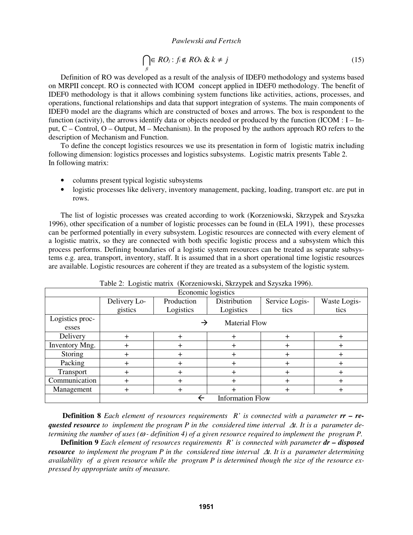$$
\bigcap_{f_i} \in RO_j : f_i \notin RO_k \& k \neq j \tag{15}
$$

 Definition of RO was developed as a result of the analysis of IDEF0 methodology and systems based on MRPII concept. RO is connected with ICOM concept applied in IDEF0 methodology. The benefit of IDEF0 methodology is that it allows combining system functions like activities, actions, processes, and operations, functional relationships and data that support integration of systems. The main components of IDEF0 model are the diagrams which are constructed of boxes and arrows. The box is respondent to the function (activity), the arrows identify data or objects needed or produced by the function (ICOM : I – Input, C – Control, O – Output, M – Mechanism). In the proposed by the authors approach RO refers to the description of Mechanism and Function.

 To define the concept logistics resources we use its presentation in form of logistic matrix including following dimension: logistics processes and logistics subsystems. Logistic matrix presents Table 2. In following matrix:

- columns present typical logistic subsystems
- logistic processes like delivery, inventory management, packing, loading, transport etc. are put in rows.

 The list of logistic processes was created according to work (Korzeniowski, Skrzypek and Szyszka 1996), other specification of a number of logistic processes can be found in (ELA 1991), these processes can be performed potentially in every subsystem. Logistic resources are connected with every element of a logistic matrix, so they are connected with both specific logistic process and a subsystem which this process performs. Defining boundaries of a logistic system resources can be treated as separate subsystems e.g. area, transport, inventory, staff. It is assumed that in a short operational time logistic resources are available. Logistic resources are coherent if they are treated as a subsystem of the logistic system.

| Economic logistics |                         |            |                      |                |              |  |  |  |  |  |
|--------------------|-------------------------|------------|----------------------|----------------|--------------|--|--|--|--|--|
|                    | Delivery Lo-            | Production | Distribution         | Service Logis- | Waste Logis- |  |  |  |  |  |
|                    | gistics                 | Logistics  | Logistics            | tics           | tics         |  |  |  |  |  |
| Logistics proc-    |                         | →          | <b>Material Flow</b> |                |              |  |  |  |  |  |
| esses              |                         |            |                      |                |              |  |  |  |  |  |
| Delivery           |                         | $\ddot{}$  |                      |                | $\pm$        |  |  |  |  |  |
| Inventory Mng.     |                         |            |                      |                | +            |  |  |  |  |  |
| Storing            | $\pm$                   | $\pm$      | ┿                    | +              | $\pm$        |  |  |  |  |  |
| Packing            |                         |            |                      |                | $\,{}^+$     |  |  |  |  |  |
| Transport          |                         |            |                      |                | $\,{}^+$     |  |  |  |  |  |
| Communication      | +                       |            |                      | +              | $\,{}^+$     |  |  |  |  |  |
| Management<br>+    |                         | +          |                      | +              | $\pm$        |  |  |  |  |  |
|                    | <b>Information Flow</b> |            |                      |                |              |  |  |  |  |  |

Table 2: Logistic matrix (Korzeniowski, Skrzypek and Szyszka 1996).

**Definition 8** *Each element of resources requirements R' is connected with a parameter rr* – *requested resource to implement the program P in the considered time interval* ∆*t. It is a parameter determining the number of uses (*ω *- definition 4) of a given resource required to implement the program P.* 

**Definition 9** *Each element of resources requirements R' is connected with parameter dr – disposed resource to implement the program P in the considered time interval* ∆*t. It is a parameter determining availability of a given resource while the program P is determined though the size of the resource expressed by appropriate units of measure.*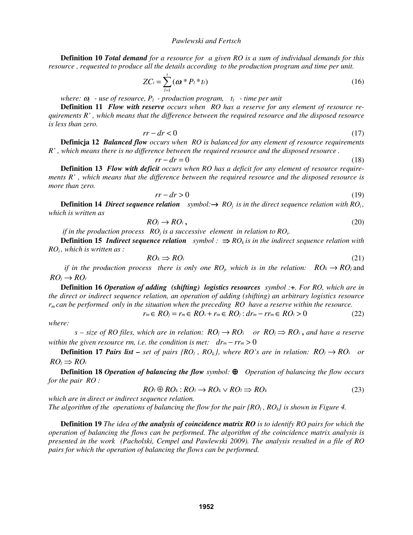**Definition 10** *Total demand for a resource for a given RO is a sum of individual demands for this resource , requested to produce all the details according to the production program and time per unit.* 

$$
ZC_i = \sum_{l=1}^{s} (\boldsymbol{\omega}^* P_l * t_l)
$$
 (16)

*where:*  $\omega_l$  - use of resource,  $P_l$  - production program,  $t_l$  - time per unit

**Definition 11** *Flow with reserve occurs when RO has a reserve for any element of resource requirements R' , which means that the difference between the required resource and the disposed resource is less than zero.* 

$$
rr - dr < 0 \tag{17}
$$

**Definicja 12** *Balanced flow occurs when RO is balanced for any element of resource requirements R' , which means there is no difference between the required resource and the disposed resource .* 

$$
rr - dr = 0 \tag{18}
$$

**Definition 13** *Flow with deficit occurs when RO has a deficit for any element of resource requirements R' , which means that the difference between the required resource and the disposed resource is more than zero.* 

$$
rr - dr > 0 \tag{19}
$$

**Definition 14** *Direct sequence relation symbol:* $\rightarrow$  *RO<sub>i</sub> is in the direct sequence relation with RO<sub>i</sub>, which is written as* 

$$
RO_j \to RO_i, \tag{20}
$$

*if in the production process*  $RO<sub>i</sub>$  *is a successive element in relation to RO<sub>i</sub>.* 

**Definition 15** *Indirect sequence relation symbol* :  $\Rightarrow RO_k$  *is in the indirect sequence relation with ROi , which is written as :* 

$$
RO_k \Rightarrow RO_i \tag{21}
$$

*if in the production process there is only one*  $RO<sub>i</sub>$ *, which is in the relation:*  $RO<sub>k</sub> \rightarrow RO<sub>j</sub>$  and  $RO_i \rightarrow RO_i$ 

**Definition 16** *Operation of adding (shifting) logistics resources symbol :+. For RO, which are in the direct or indirect sequence relation, an operation of adding (shifting) an arbitrary logistics resource rm can be performed only in the situation when the preceding RO have a reserve within the resource.* 

$$
r_m \in RO_j = r_m \in RO_i + r_m \in RO_j : dr_m - rr_m \in RO_i > 0 \tag{22}
$$

*where:* 

*s* – size of RO files, which are in relation:  $RO_i \rightarrow RO_i$  or  $RO_i \Rightarrow RO_i$ , and have a reserve *within the given resource rm, i.e. the condition is met:*  $dr_m - rr_m > 0$ 

 **Definition 17 Pairs list –** set of pairs  $\{RO_i, RO_k\}$ , where RO's are in relation:  $RO_i \rightarrow RO_i$  or  $RO_i \Rightarrow RO_i$ 

**Definition 18** *Operation of balancing the flow symbol:* ⊕ *Operation of balancing the flow occurs for the pair RO :* 

$$
RO_l \oplus RO_k : RO_l \to RO_k \vee RO_l \Rightarrow RO_k \tag{23}
$$

*which are in direct or indirect sequence relation.* 

*The algorithm of the operations of balancing the flow for the pair*  $[RO_l, RO_k]$  *is shown in Figure 4.* 

**Definition 19** *The idea of the analysis of coincidence matrix RO is to identify RO pairs for which the operation of balancing the flows can be performed. The algorithm of the coincidence matrix analysis is presented in the work (Pacholski, Cempel and Pawlewski 2009). The analysis resulted in a file of RO pairs for which the operation of balancing the flows can be performed.*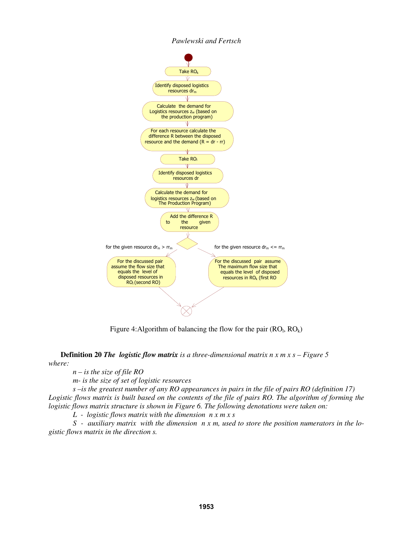

Figure 4: Algorithm of balancing the flow for the pair  $(RO<sub>l</sub>, RO<sub>k</sub>)$ 

**Definition 20** *The logistic flow matrix is a three-dimensional matrix n x m x s – Figure 5 where:* 

 *n – is the size of file RO* 

 *m- is the size of set of logistic resources* 

 *s –is the greatest number of any RO appearances in pairs in the file of pairs RO (definition 17) Logistic flows matrix is built based on the contents of the file of pairs RO. The algorithm of forming the logistic flows matrix structure is shown in Figure 6. The following denotations were taken on:* 

 *L - logistic flows matrix with the dimension n x m x s* 

 *S - auxiliary matrix with the dimension n x m, used to store the position numerators in the logistic flows matrix in the direction s.*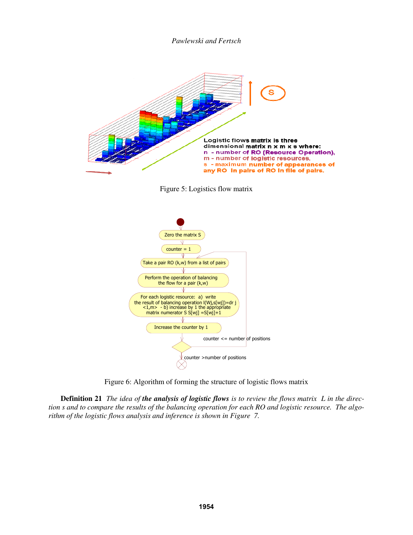

Figure 5: Logistics flow matrix



Figure 6: Algorithm of forming the structure of logistic flows matrix

**Definition 21** *The idea of the analysis of logistic flows is to review the flows matrix L in the direction s and to compare the results of the balancing operation for each RO and logistic resource. The algorithm of the logistic flows analysis and inference is shown in Figure 7.*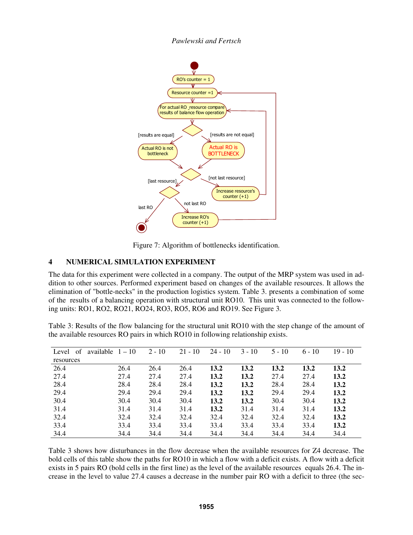

Figure 7: Algorithm of bottlenecks identification.

# **4 NUMERICAL SIMULATION EXPERIMENT**

The data for this experiment were collected in a company. The output of the MRP system was used in addition to other sources. Performed experiment based on changes of the available resources. It allows the elimination of "bottle-necks" in the production logistics system. Table 3. presents a combination of some of the results of a balancing operation with structural unit RO10. This unit was connected to the following units: RO1, RO2, RO21, RO24, RO3, RO5, RO6 and RO19. See Figure 3.

Table 3: Results of the flow balancing for the structural unit RO10 with the step change of the amount of the available resources RO pairs in which RO10 in following relationship exists.

| Level<br>of | available $1-10$ |      | $2 - 10$ | $21 - 10$ | $24 - 10$ | $3 - 10$ | $5 - 10$ | $6 - 10$ | 19 - 10 |
|-------------|------------------|------|----------|-----------|-----------|----------|----------|----------|---------|
| resources   |                  |      |          |           |           |          |          |          |         |
| 26.4        |                  | 26.4 | 26.4     | 26.4      | 13.2      | 13.2     | 13.2     | 13.2     | 13.2    |
| 27.4        |                  | 27.4 | 27.4     | 27.4      | 13.2      | 13.2     | 27.4     | 27.4     | 13.2    |
| 28.4        |                  | 28.4 | 28.4     | 28.4      | 13.2      | 13.2     | 28.4     | 28.4     | 13.2    |
| 29.4        |                  | 29.4 | 29.4     | 29.4      | 13.2      | 13.2     | 29.4     | 29.4     | 13.2    |
| 30.4        |                  | 30.4 | 30.4     | 30.4      | 13.2      | 13.2     | 30.4     | 30.4     | 13.2    |
| 31.4        |                  | 31.4 | 31.4     | 31.4      | 13.2      | 31.4     | 31.4     | 31.4     | 13.2    |
| 32.4        |                  | 32.4 | 32.4     | 32.4      | 32.4      | 32.4     | 32.4     | 32.4     | 13.2    |
| 33.4        |                  | 33.4 | 33.4     | 33.4      | 33.4      | 33.4     | 33.4     | 33.4     | 13.2    |
| 34.4        |                  | 34.4 | 34.4     | 34.4      | 34.4      | 34.4     | 34.4     | 34.4     | 34.4    |

Table 3 shows how disturbances in the flow decrease when the available resources for Z4 decrease. The bold cells of this table show the paths for RO10 in which a flow with a deficit exists. A flow with a deficit exists in 5 pairs RO (bold cells in the first line) as the level of the available resources equals 26.4. The increase in the level to value 27.4 causes a decrease in the number pair RO with a deficit to three (the sec-